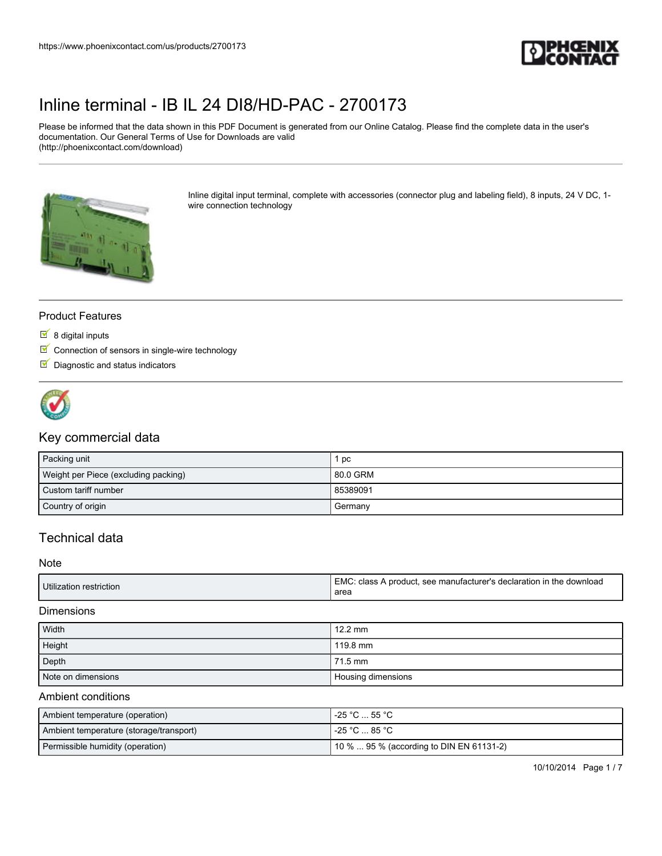

Please be informed that the data shown in this PDF Document is generated from our Online Catalog. Please find the complete data in the user's documentation. Our General Terms of Use for Downloads are valid (http://phoenixcontact.com/download)



Inline digital input terminal, complete with accessories (connector plug and labeling field), 8 inputs, 24 V DC, 1 wire connection technology

### Product Features

- $8$  digital inputs
- $\blacksquare$  Connection of sensors in single-wire technology
- $\nabla$  Diagnostic and status indicators



## Key commercial data

| Packing unit                         | рc       |
|--------------------------------------|----------|
| Weight per Piece (excluding packing) | 80.0 GRM |
| Custom tariff number                 | 85389091 |
| Country of origin                    | Germany  |

## Technical data

#### **Note**

| Utilization restriction | EMC.<br>here class A product, see manufacturer's declaration in the download |
|-------------------------|------------------------------------------------------------------------------|
|                         | area                                                                         |

#### **Dimensions**

| Width              | $12.2 \text{ mm}$  |
|--------------------|--------------------|
| Height             | 119.8 mm           |
| Depth              | 71.5 mm            |
| Note on dimensions | Housing dimensions |

#### Ambient conditions

| Ambient temperature (operation)         | . -25 °C  55 °C                            |
|-----------------------------------------|--------------------------------------------|
| Ambient temperature (storage/transport) | l -25 °C … 85 °C .                         |
| Permissible humidity (operation)        | 1.10 %  95 % (according to DIN EN 61131-2) |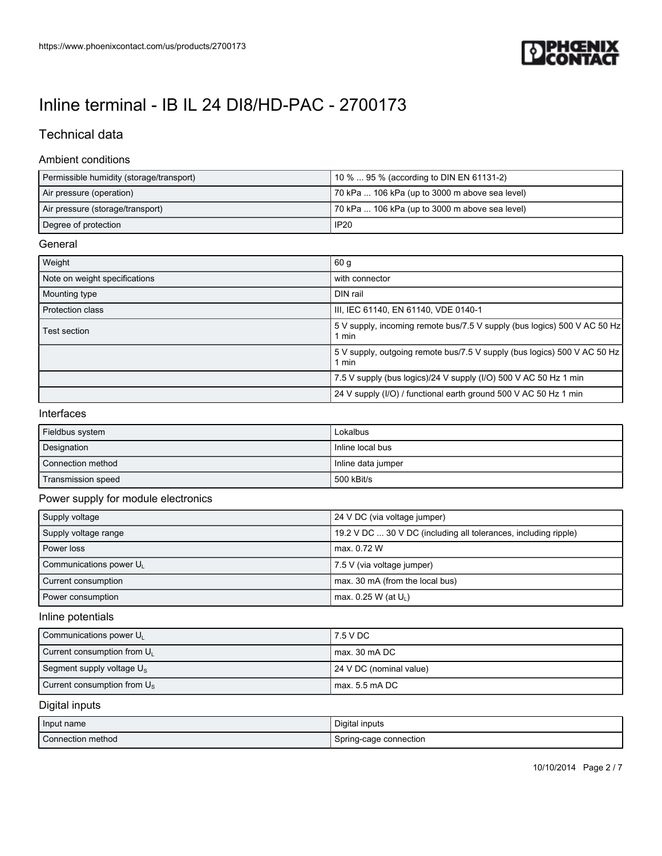

## Technical data

### Ambient conditions

| Permissible humidity (storage/transport) | 10 %  95 % (according to DIN EN 61131-2)       |
|------------------------------------------|------------------------------------------------|
| Air pressure (operation)                 | 70 kPa  106 kPa (up to 3000 m above sea level) |
| Air pressure (storage/transport)         | 70 kPa  106 kPa (up to 3000 m above sea level) |
| Degree of protection                     | IP20                                           |

### General

| Weight                        | 60 <sub>g</sub>                                                                   |
|-------------------------------|-----------------------------------------------------------------------------------|
| Note on weight specifications | with connector                                                                    |
| Mounting type                 | DIN rail                                                                          |
| <b>Protection class</b>       | III, IEC 61140, EN 61140, VDE 0140-1                                              |
| Test section                  | 5 V supply, incoming remote bus/7.5 V supply (bus logics) 500 V AC 50 Hz<br>1 min |
|                               | 5 V supply, outgoing remote bus/7.5 V supply (bus logics) 500 V AC 50 Hz<br>1 min |
|                               | 7.5 V supply (bus logics)/24 V supply (I/O) 500 V AC 50 Hz 1 min                  |
|                               | 24 V supply (I/O) / functional earth ground 500 V AC 50 Hz 1 min                  |

#### Interfaces

| Fieldbus system    | Lokalbus           |
|--------------------|--------------------|
| Designation        | Inline local bus   |
| Connection method  | Inline data jumper |
| Transmission speed | 500 kBit/s         |

## Power supply for module electronics

| Supply voltage         | 24 V DC (via voltage jumper)                                    |
|------------------------|-----------------------------------------------------------------|
| Supply voltage range   | 19.2 V DC  30 V DC (including all tolerances, including ripple) |
| Power loss             | max, 0.72 W                                                     |
| Communications power U | 7.5 V (via voltage jumper)                                      |
| Current consumption    | max. 30 mA (from the local bus)                                 |
| Power consumption      | max. 0.25 W (at U <sub>1</sub> )                                |

#### Inline potentials

| Communications power U <sub>1</sub>  | l 7.5 V DC                |
|--------------------------------------|---------------------------|
| Current consumption from $U_L$       | max. 30 mA DC             |
| Segment supply voltage $U_s$         | 1 24 V DC (nominal value) |
| Current consumption from $U_{\rm s}$ | l max. 5.5 mA DC          |

## Digital inputs

| Input name        | Digital inputs         |
|-------------------|------------------------|
| Connection method | Spring-cage connection |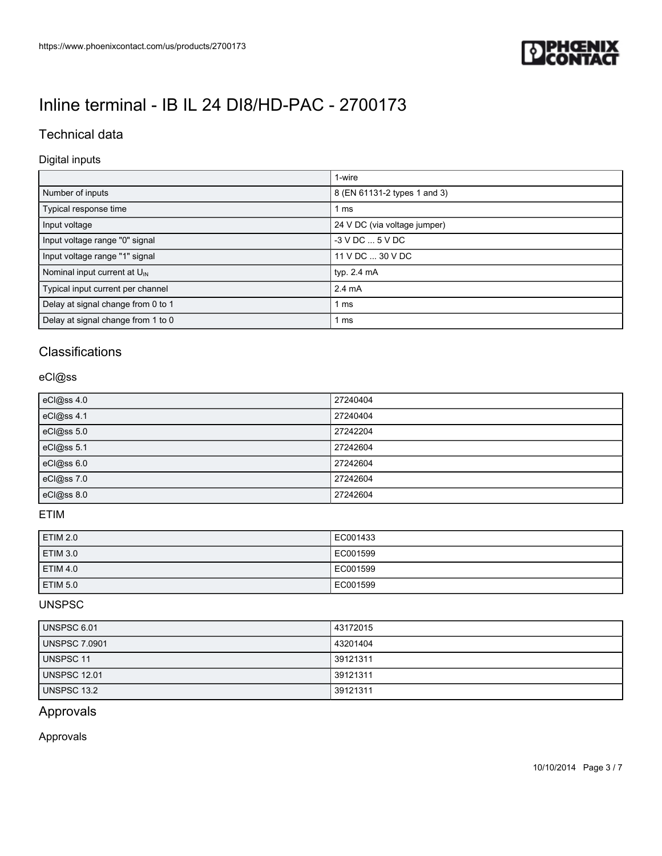

## Technical data

## Digital inputs

|                                          | 1-wire                       |
|------------------------------------------|------------------------------|
| Number of inputs                         | 8 (EN 61131-2 types 1 and 3) |
| Typical response time                    | 1 ms                         |
| Input voltage                            | 24 V DC (via voltage jumper) |
| Input voltage range "0" signal           | $-3$ V DC $$ 5 V DC          |
| Input voltage range "1" signal           | 11 V DC  30 V DC             |
| Nominal input current at $U_{\text{IN}}$ | typ. 2.4 mA                  |
| Typical input current per channel        | $2.4 \text{ mA}$             |
| Delay at signal change from 0 to 1       | 1 ms                         |
| Delay at signal change from 1 to 0       | 1 ms                         |

## **Classifications**

### eCl@ss

| eCl@ss 4.0 | 27240404 |
|------------|----------|
| eCl@ss 4.1 | 27240404 |
| eCl@ss 5.0 | 27242204 |
| eCl@ss 5.1 | 27242604 |
| eCl@ss 6.0 | 27242604 |
| eCl@ss 7.0 | 27242604 |
| eCl@ss 8.0 | 27242604 |

## ETIM

| ETIM 2.0        | EC001433 |
|-----------------|----------|
| ETIM 3.0        | EC001599 |
| <b>ETIM 4.0</b> | EC001599 |
| ETIM 5.0        | EC001599 |

## UNSPSC

| <b>UNSPSC 6.01</b>   | 43172015 |
|----------------------|----------|
| <b>UNSPSC 7.0901</b> | 43201404 |
| <b>UNSPSC 11</b>     | 39121311 |
| <b>UNSPSC 12.01</b>  | 39121311 |
| UNSPSC 13.2          | 39121311 |

## Approvals

Approvals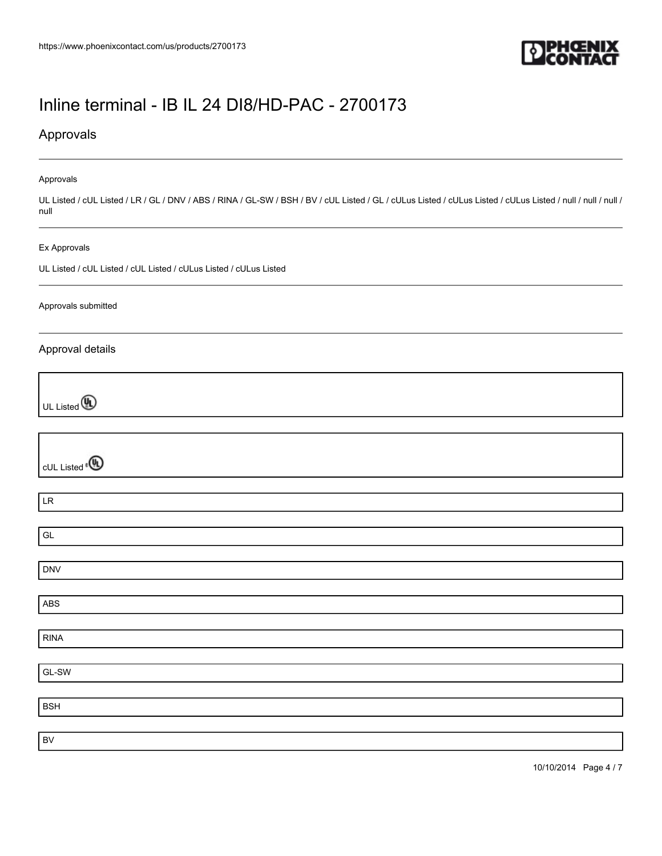

## Approvals

#### Approvals

UL Listed / cUL Listed / LR / GL / DNV / ABS / RINA / GL-SW / BSH / BV / cUL Listed / GL / cULus Listed / cULus Listed / null / null / null / null / null

#### Ex Approvals

UL Listed / cUL Listed / cUL Listed / cULus Listed / cULus Listed

#### Approvals submitted

### Approval details

UL Listed **(A)** 

| cUL Listed <sup>e</sup> <sup>®</sup> |  |
|--------------------------------------|--|
|                                      |  |
| LR                                   |  |
|                                      |  |
| GL                                   |  |
|                                      |  |
| DNV                                  |  |
|                                      |  |
| ABS                                  |  |
|                                      |  |
| RINA                                 |  |
|                                      |  |
| $\overline{\mathsf{GL}}$ -SW         |  |
|                                      |  |
| BSH                                  |  |
|                                      |  |
| BV                                   |  |
|                                      |  |

10/10/2014 Page 4 / 7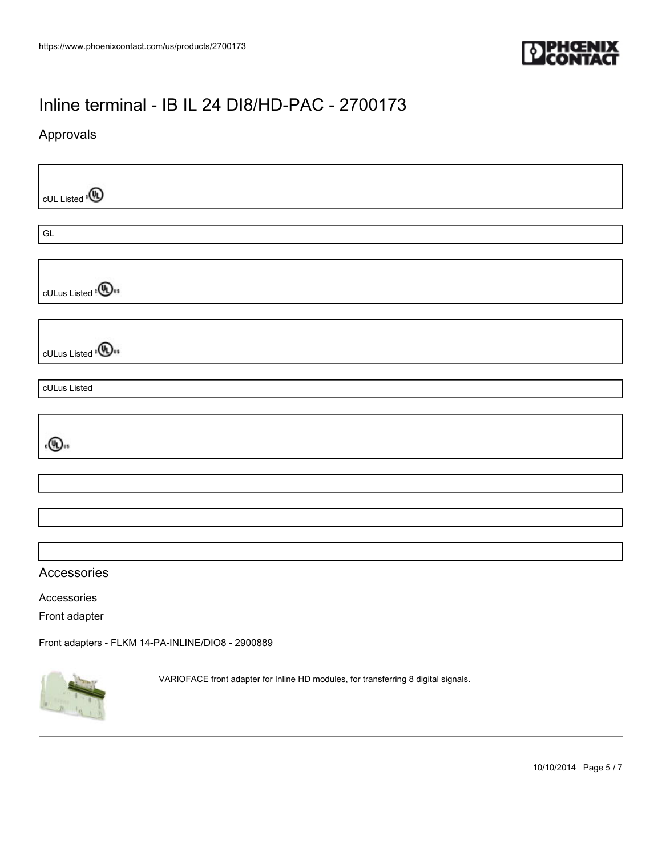

## Approvals

cUL Listed<sup>®</sup> GL cULus Listed<sup>e</sub>(U<sub>us</sub></sup> cULus Listed<sup>e</sub>(Www</sup> cULus Listed  $\epsilon$  (U)  $_{\rm us}$ Accessories Accessories Front adapter [Front adapters - FLKM 14-PA-INLINE/DIO8 - 2900889](https://www.phoenixcontact.com/us/products/2900889) VARIOFACE front adapter for Inline HD modules, for transferring 8 digital signals.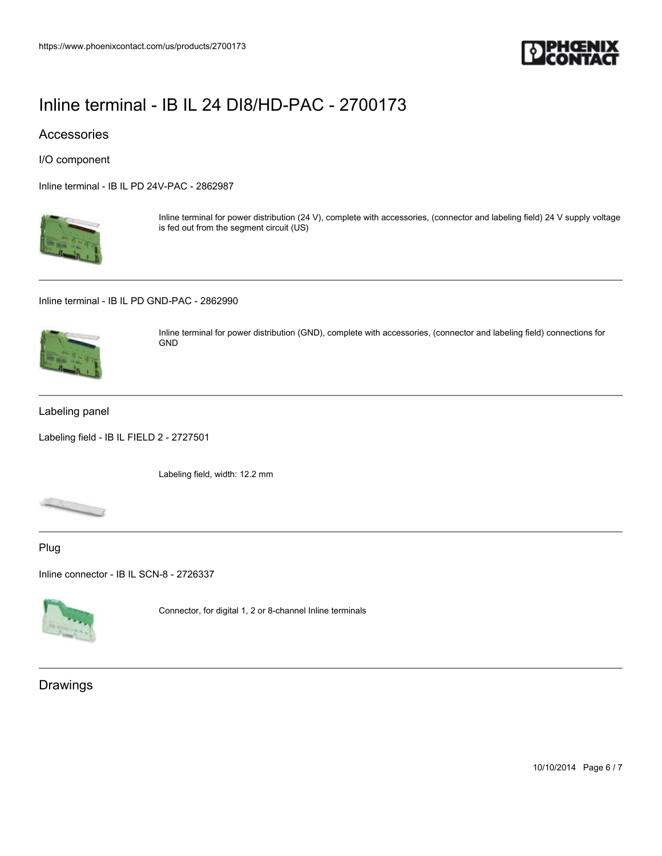

## Accessories

I/O component

[Inline terminal - IB IL PD 24V-PAC - 2862987](https://www.phoenixcontact.com/us/products/2862987)



Inline terminal for power distribution (24 V), complete with accessories, (connector and labeling field) 24 V supply voltage is fed out from the segment circuit (US)

[Inline terminal - IB IL PD GND-PAC - 2862990](https://www.phoenixcontact.com/us/products/2862990)



Inline terminal for power distribution (GND), complete with accessories, (connector and labeling field) connections for GND

#### Labeling panel

[Labeling field - IB IL FIELD 2 - 2727501](https://www.phoenixcontact.com/us/products/2727501)

Labeling field, width: 12.2 mm



### Plug

[Inline connector - IB IL SCN-8 - 2726337](https://www.phoenixcontact.com/us/products/2726337)



Connector, for digital 1, 2 or 8-channel Inline terminals

## Drawings